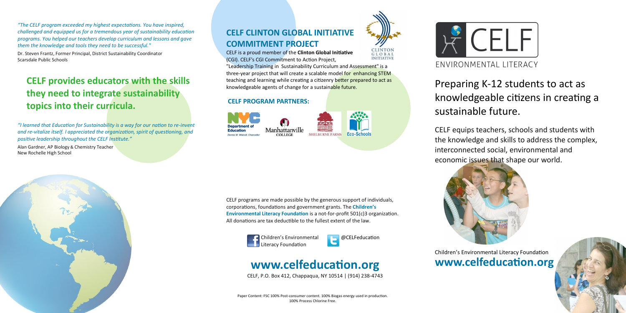*"The CELF program exceeded my highest expectations. You have inspired, challenged and equipped us for a tremendous year of sustainability education programs. You helped our teachers develop curriculum and lessons and gave them the knowledge and tools they need to be successful."*

Dr. Steven Frantz, Former Principal, District Sustainability Coordinator Scarsdale Public Schools

## **CELF provides educators with the skills they need to integrate sustainability topics into their curricula.**

*"I learned that Education for Sustainability is a way for our nation to re-invent and re-vitalize itself. I appreciated the organization, spirit of questioning, and positive leadership throughout the CELF Institute."* 

Alan Gardner, AP Biology & Chemistry Teacher New Rochelle High School



CELF is a proud member of the **Clinton Global Initiative** (CGI). CELF's CGI Commitment to Action Project,

"Leadership Training in Sustainability Curriculum and Assessment" is a three-year project that will create a scalable model for enhancing STEM teaching and learning while creating a citizenry better prepared to act as knowledgeable agents of change for a sustainable future.

#### **CELF PROGRAM PARTNERS:**





GLOBAL **INITIATIVE** 



CELF programs are made possible by the generous support of individuals, corporations, foundations and government grants. The **Children's Environmental Literacy Foundation** is a not-for-profit 501(c)3 organization. All donations are tax deductible to the fullest extent of the law.





## **www.celfeducation.org**

CELF, P.O. Box 412, Chappaqua, NY 10514 | (914) 238-4743

# Preparing K-12 students to act as knowledgeable citizens in creating a sustainable future.



CELF equips teachers, schools and students with the knowledge and skills to address the complex, interconnected social, environmental and economic issues that shape our world.



Children's Environmental Literacy Foundation **www.celfeducation.org**



Paper Content: FSC 100% Post-consumer content. 100% Biogas energy used in production. 100% Process Chlorine Free.





ENVIRONMENTAL LITERACY